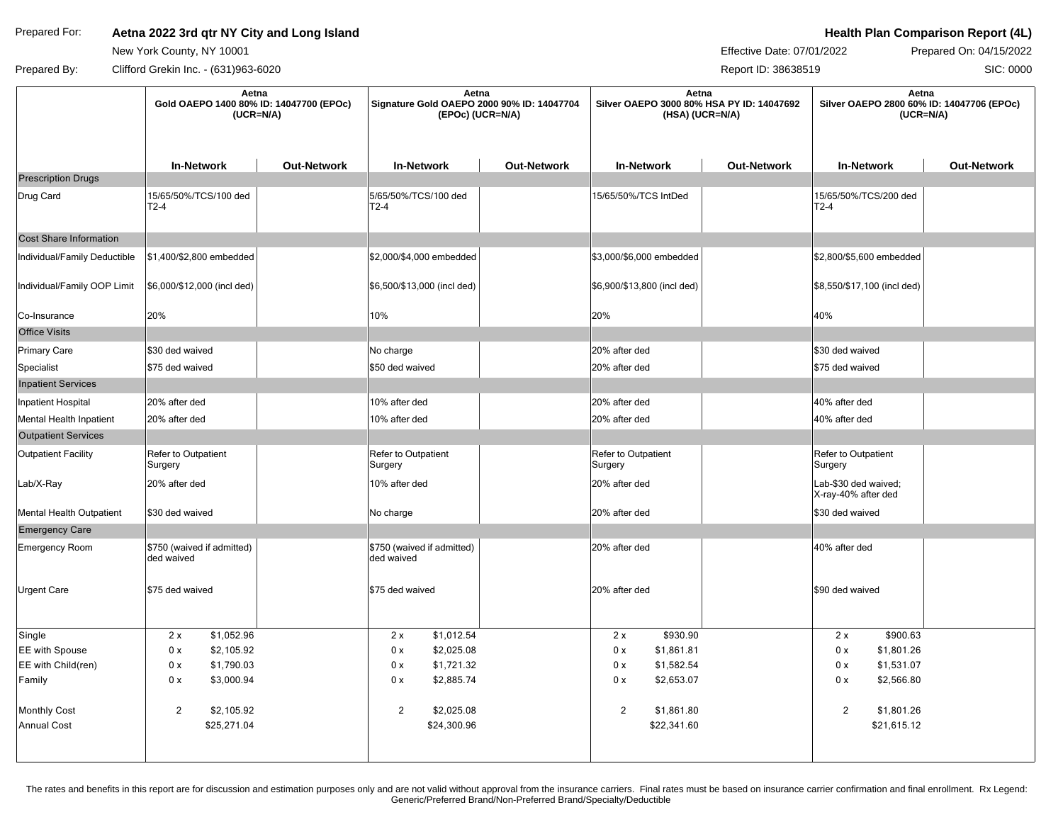## Prepared For: **Aetna 2022 3rd qtr NY City and Long Island According to the Comparison Report (4L) Health Plan Comparison Report (4L)**

New York County, NY 10001

Effective Date: 07/01/2022 Prepared On: 04/15/2022

SIC: 0000

Prepared By: Clifford Grekin Inc. - (631)963-6020 Clifford Creater and Control of the Creater According to the Report ID: 38638519

|                               | Aetna<br>Gold OAEPO 1400 80% ID: 14047700 (EPOc)<br>$(UCR=N/A)$ |                    | Aetna<br>Signature Gold OAEPO 2000 90% ID: 14047704<br>(EPOc) (UCR=N/A) |                    | Aetna<br>Silver OAEPO 3000 80% HSA PY ID: 14047692<br>(HSA) (UCR=N/A) |                    | Aetna<br>Silver OAEPO 2800 60% ID: 14047706 (EPOc)<br>$(UCR=N/A)$ |                    |
|-------------------------------|-----------------------------------------------------------------|--------------------|-------------------------------------------------------------------------|--------------------|-----------------------------------------------------------------------|--------------------|-------------------------------------------------------------------|--------------------|
|                               | <b>In-Network</b>                                               | <b>Out-Network</b> | <b>In-Network</b>                                                       | <b>Out-Network</b> | <b>In-Network</b>                                                     | <b>Out-Network</b> | <b>In-Network</b>                                                 | <b>Out-Network</b> |
| <b>Prescription Drugs</b>     |                                                                 |                    |                                                                         |                    |                                                                       |                    |                                                                   |                    |
| Drug Card                     | 15/65/50%/TCS/100 ded<br>$T2-4$                                 |                    | 5/65/50%/TCS/100 ded<br>$T2-4$                                          |                    | 15/65/50%/TCS IntDed                                                  |                    | 15/65/50%/TCS/200 ded<br>$T2-4$                                   |                    |
| <b>Cost Share Information</b> |                                                                 |                    |                                                                         |                    |                                                                       |                    |                                                                   |                    |
| Individual/Family Deductible  | \$1,400/\$2,800 embedded                                        |                    | \$2,000/\$4,000 embedded                                                |                    | \$3,000/\$6,000 embedded                                              |                    | \$2,800/\$5,600 embedded                                          |                    |
| Individual/Family OOP Limit   | \$6,000/\$12,000 (incl ded)                                     |                    | \$6,500/\$13,000 (incl ded)                                             |                    | \$6,900/\$13,800 (incl ded)                                           |                    | \$8,550/\$17,100 (incl ded)                                       |                    |
| Co-Insurance                  | 20%                                                             |                    | 10%                                                                     |                    | 20%                                                                   |                    | 40%                                                               |                    |
| <b>Office Visits</b>          |                                                                 |                    |                                                                         |                    |                                                                       |                    |                                                                   |                    |
| <b>Primary Care</b>           | \$30 ded waived                                                 |                    | No charge                                                               |                    | 20% after ded                                                         |                    | \$30 ded waived                                                   |                    |
| Specialist                    | \$75 ded waived                                                 |                    | \$50 ded waived                                                         |                    | 20% after ded                                                         |                    | \$75 ded waived                                                   |                    |
| <b>Inpatient Services</b>     |                                                                 |                    |                                                                         |                    |                                                                       |                    |                                                                   |                    |
| Inpatient Hospital            | 20% after ded                                                   |                    | 10% after ded                                                           |                    | 20% after ded                                                         |                    | 40% after ded                                                     |                    |
| Mental Health Inpatient       | 20% after ded                                                   |                    | 10% after ded                                                           |                    | 20% after ded                                                         |                    | 40% after ded                                                     |                    |
| <b>Outpatient Services</b>    |                                                                 |                    |                                                                         |                    |                                                                       |                    |                                                                   |                    |
| <b>Outpatient Facility</b>    | Refer to Outpatient<br>Surgery                                  |                    | Refer to Outpatient<br>Surgery                                          |                    | Refer to Outpatient<br>Surgery                                        |                    | Refer to Outpatient<br>Surgery                                    |                    |
| Lab/X-Ray                     | 20% after ded                                                   |                    | 10% after ded                                                           |                    | 20% after ded                                                         |                    | Lab-\$30 ded waived;<br>X-ray-40% after ded                       |                    |
| Mental Health Outpatient      | \$30 ded waived                                                 |                    | No charge                                                               |                    | 20% after ded                                                         |                    | \$30 ded waived                                                   |                    |
| <b>Emergency Care</b>         |                                                                 |                    |                                                                         |                    |                                                                       |                    |                                                                   |                    |
| <b>Emergency Room</b>         | \$750 (waived if admitted)<br>ded waived                        |                    | \$750 (waived if admitted)<br>ded waived                                |                    | 20% after ded                                                         |                    | 40% after ded                                                     |                    |
| Urgent Care                   | \$75 ded waived                                                 |                    | \$75 ded waived                                                         |                    | 20% after ded                                                         |                    | \$90 ded waived                                                   |                    |
| Single                        | \$1,052.96<br>2x                                                |                    | 2x<br>\$1,012.54                                                        |                    | \$930.90<br>2x                                                        |                    | \$900.63<br>2x                                                    |                    |
| EE with Spouse                | 0 x<br>\$2,105.92                                               |                    | \$2,025.08<br>0 x                                                       |                    | 0 x<br>\$1,861.81                                                     |                    | \$1,801.26<br>0 x                                                 |                    |
| EE with Child(ren)            | 0 x<br>\$1,790.03                                               |                    | 0 x<br>\$1,721.32                                                       |                    | 0 x<br>\$1,582.54                                                     |                    | 0 x<br>\$1,531.07                                                 |                    |
| Family                        | 0 x<br>\$3,000.94                                               |                    | \$2,885.74<br>0 x                                                       |                    | 0 x<br>\$2,653.07                                                     |                    | 0 x<br>\$2,566.80                                                 |                    |
| <b>Monthly Cost</b>           | 2<br>\$2,105.92                                                 |                    | $\overline{2}$<br>\$2,025.08                                            |                    | $\overline{c}$<br>\$1,861.80                                          |                    | 2<br>\$1,801.26                                                   |                    |
| <b>Annual Cost</b>            | \$25,271.04                                                     |                    | \$24,300.96                                                             |                    | \$22,341.60                                                           |                    | \$21,615.12                                                       |                    |

The rates and benefits in this report are for discussion and estimation purposes only and are not valid without approval from the insurance carriers. Final rates must be based on insurance carrier confirmation and final en Generic/Preferred Brand/Non-Preferred Brand/Specialty/Deductible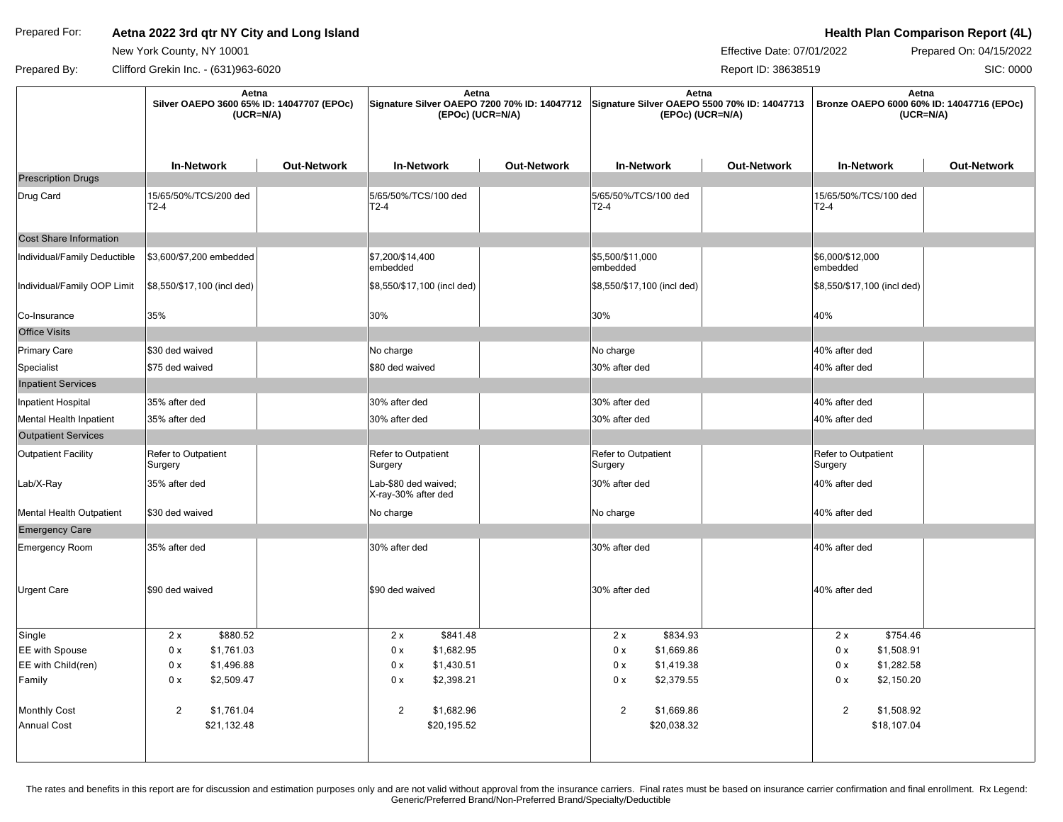## Prepared For: **Aetna 2022 3rd qtr NY City and Long Island According to the Comparison Report (4L) Health Plan Comparison Report (4L)**

New York County, NY 10001

Effective Date: 07/01/2022 Prepared On: 04/15/2022

SIC: 0000

Prepared By: Clifford Grekin Inc. - (631)963-6020 Clifford Creater and Control of the Creater According to the Report ID: 38638519

|                               | Aetna<br>Silver OAEPO 3600 65% ID: 14047707 (EPOc)<br>$(UCR=N/A)$ |                    | Aetna<br>Signature Silver OAEPO 7200 70% ID: 14047712<br>(EPOc) (UCR=N/A) |                    | Aetna<br>Signature Silver OAEPO 5500 70% ID: 14047713<br>(EPOc) (UCR=N/A) |                    | Aetna<br>Bronze OAEPO 6000 60% ID: 14047716 (EPOc)<br>$(UCR=N/A)$ |                    |
|-------------------------------|-------------------------------------------------------------------|--------------------|---------------------------------------------------------------------------|--------------------|---------------------------------------------------------------------------|--------------------|-------------------------------------------------------------------|--------------------|
|                               | <b>In-Network</b>                                                 | <b>Out-Network</b> | <b>In-Network</b>                                                         | <b>Out-Network</b> | <b>In-Network</b>                                                         | <b>Out-Network</b> | <b>In-Network</b>                                                 | <b>Out-Network</b> |
| <b>Prescription Drugs</b>     |                                                                   |                    |                                                                           |                    |                                                                           |                    |                                                                   |                    |
| Drug Card                     | 15/65/50%/TCS/200 ded<br>$T2-4$                                   |                    | 5/65/50%/TCS/100 ded<br>T2-4                                              |                    | 5/65/50%/TCS/100 ded<br>T2-4                                              |                    | 15/65/50%/TCS/100 ded<br>$T2-4$                                   |                    |
| <b>Cost Share Information</b> |                                                                   |                    |                                                                           |                    |                                                                           |                    |                                                                   |                    |
| Individual/Family Deductible  | \$3,600/\$7,200 embedded                                          |                    | \$7,200/\$14,400<br>embedded                                              |                    | \$5,500/\$11,000<br>embedded                                              |                    | \$6,000/\$12,000<br>embedded                                      |                    |
| Individual/Family OOP Limit   | \$8,550/\$17,100 (incl ded)                                       |                    | \$8,550/\$17,100 (incl ded)                                               |                    | \$8,550/\$17,100 (incl ded)                                               |                    | \$8,550/\$17,100 (incl ded)                                       |                    |
| Co-Insurance                  | 35%                                                               |                    | 30%                                                                       |                    | 30%                                                                       |                    | 40%                                                               |                    |
| <b>Office Visits</b>          |                                                                   |                    |                                                                           |                    |                                                                           |                    |                                                                   |                    |
| Primary Care                  | \$30 ded waived                                                   |                    | No charge                                                                 |                    | No charge                                                                 |                    | 40% after ded                                                     |                    |
| Specialist                    | \$75 ded waived                                                   |                    | \$80 ded waived                                                           |                    | 30% after ded                                                             |                    | 40% after ded                                                     |                    |
| <b>Inpatient Services</b>     |                                                                   |                    |                                                                           |                    |                                                                           |                    |                                                                   |                    |
| Inpatient Hospital            | 35% after ded                                                     |                    | 30% after ded                                                             |                    | 30% after ded                                                             |                    | 40% after ded                                                     |                    |
| Mental Health Inpatient       | 35% after ded                                                     |                    | 30% after ded                                                             |                    | 30% after ded                                                             |                    | 40% after ded                                                     |                    |
| <b>Outpatient Services</b>    |                                                                   |                    |                                                                           |                    |                                                                           |                    |                                                                   |                    |
| <b>Outpatient Facility</b>    | Refer to Outpatient<br>Surgery                                    |                    | Refer to Outpatient<br>Surgery                                            |                    | Refer to Outpatient<br>Surgery                                            |                    | Refer to Outpatient<br>Surgery                                    |                    |
| Lab/X-Ray                     | 35% after ded                                                     |                    | Lab-\$80 ded waived;<br>X-ray-30% after ded                               |                    | 30% after ded                                                             |                    | 40% after ded                                                     |                    |
| Mental Health Outpatient      | \$30 ded waived                                                   |                    | No charge                                                                 |                    | No charge                                                                 |                    | 40% after ded                                                     |                    |
| <b>Emergency Care</b>         |                                                                   |                    |                                                                           |                    |                                                                           |                    |                                                                   |                    |
| Emergency Room                | 35% after ded                                                     |                    | 30% after ded                                                             |                    | 30% after ded                                                             |                    | 40% after ded                                                     |                    |
| <b>Urgent Care</b>            | \$90 ded waived                                                   |                    | \$90 ded waived                                                           |                    | 30% after ded                                                             |                    | 40% after ded                                                     |                    |
| Single                        | 2x<br>\$880.52                                                    |                    | 2x<br>\$841.48                                                            |                    | 2x<br>\$834.93                                                            |                    | 2x<br>\$754.46                                                    |                    |
| <b>EE</b> with Spouse         | 0 x<br>\$1,761.03                                                 |                    | 0 x<br>\$1,682.95                                                         |                    | 0 x<br>\$1,669.86                                                         |                    | 0 x<br>\$1,508.91                                                 |                    |
| EE with Child(ren)            | 0 x<br>\$1,496.88                                                 |                    | \$1,430.51<br>0 x                                                         |                    | 0 x<br>\$1,419.38                                                         |                    | \$1,282.58<br>0 x                                                 |                    |
| Family                        | 0 x<br>\$2,509.47                                                 |                    | \$2,398.21<br>0 x                                                         |                    | \$2,379.55<br>0 x                                                         |                    | 0 x<br>\$2,150.20                                                 |                    |
| Monthly Cost                  | 2<br>\$1,761.04                                                   |                    | $\overline{2}$<br>\$1,682.96                                              |                    | 2<br>\$1,669.86                                                           |                    | $\overline{2}$<br>\$1,508.92                                      |                    |
| Annual Cost                   | \$21,132.48                                                       |                    | \$20,195.52                                                               |                    | \$20,038.32                                                               |                    | \$18,107.04                                                       |                    |
|                               |                                                                   |                    |                                                                           |                    |                                                                           |                    |                                                                   |                    |

The rates and benefits in this report are for discussion and estimation purposes only and are not valid without approval from the insurance carriers. Final rates must be based on insurance carrier confirmation and final en Generic/Preferred Brand/Non-Preferred Brand/Specialty/Deductible